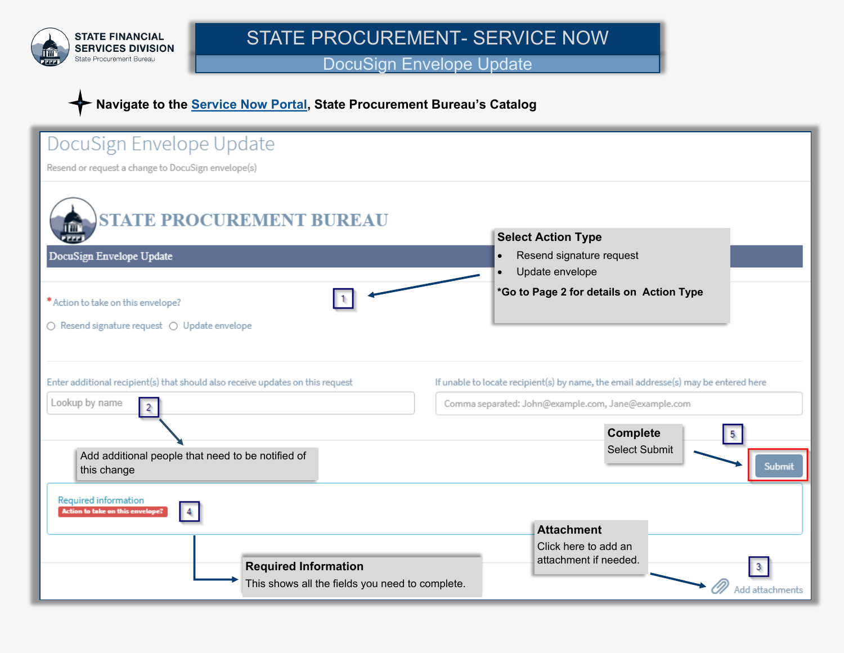

STATE PROCUREMENT- SERVICE NOW

DocuSign Envelope Update

## **Navigate to the [Service Now Portal,](http://servicedesk.mt.gov) State Procurement Bureau's Catalog**

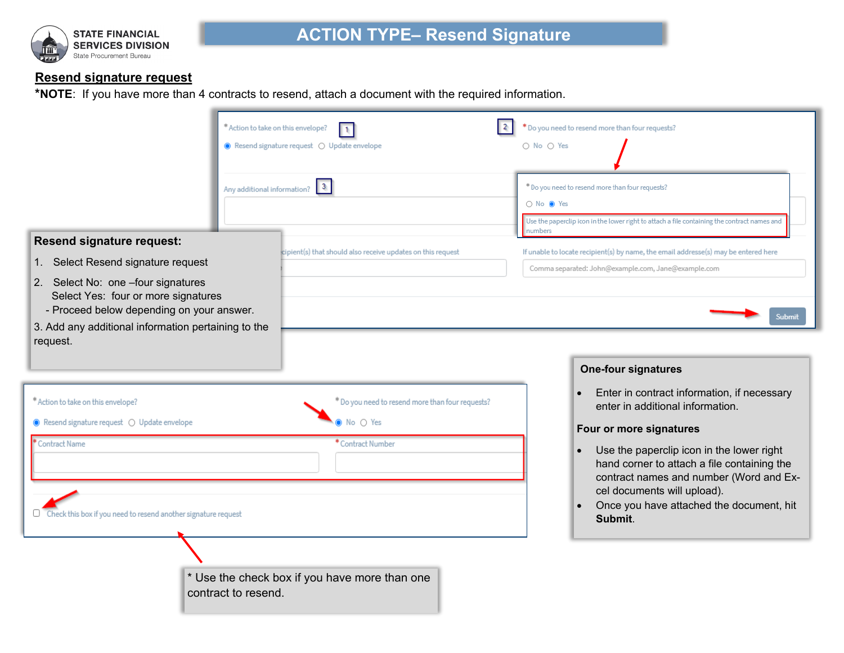

## **Resend signature request**

**\*NOTE**: If you have more than 4 contracts to resend, attach a document with the required information.

|                                                                                                                                                                               | * Action to take on this envelope?<br>● Resend signature request ○ Update envelope | 1.                                                                                                        | * Do you need to resend more than four requests?<br>○ No ○ Yes                                                                                                                                                                                      |
|-------------------------------------------------------------------------------------------------------------------------------------------------------------------------------|------------------------------------------------------------------------------------|-----------------------------------------------------------------------------------------------------------|-----------------------------------------------------------------------------------------------------------------------------------------------------------------------------------------------------------------------------------------------------|
|                                                                                                                                                                               | Any additional information?                                                        | $\vert$ 3                                                                                                 | * Do you need to resend more than four requests?<br>○ No ● Yes<br>Use the paperclip icon in the lower right to attach a file containing the contract names and                                                                                      |
| <b>Resend signature request:</b><br>1. Select Resend signature request                                                                                                        |                                                                                    | cipient(s) that should also receive updates on this request                                               | numbers<br>If unable to locate recipient(s) by name, the email addresse(s) may be entered here<br>Comma separated: John@example.com, Jane@example.com                                                                                               |
| 2. Select No: one -four signatures<br>Select Yes: four or more signatures<br>- Proceed below depending on your answer.<br>3. Add any additional information pertaining to the |                                                                                    |                                                                                                           | Submit                                                                                                                                                                                                                                              |
| request.                                                                                                                                                                      |                                                                                    |                                                                                                           | <b>One-four signatures</b><br>Enter in contract information, if necessary<br>$\bullet$                                                                                                                                                              |
| * Action to take on this envelope?<br>● Resend signature request ○ Update envelope<br><b>Contract Name</b>                                                                    |                                                                                    | * Do you need to resend more than four requests?<br>$\mathsf{No} \circ \mathsf{Yes}$<br>* Contract Number | enter in additional information.<br>Four or more signatures                                                                                                                                                                                         |
| Check this box if you need to resend another signature request                                                                                                                |                                                                                    |                                                                                                           | Use the paperclip icon in the lower right<br>$\bullet$<br>hand corner to attach a file containing the<br>contract names and number (Word and Ex-<br>cel documents will upload).<br>Once you have attached the document, hit<br>$\bullet$<br>Submit. |
|                                                                                                                                                                               | contract to resend.                                                                | * Use the check box if you have more than one                                                             |                                                                                                                                                                                                                                                     |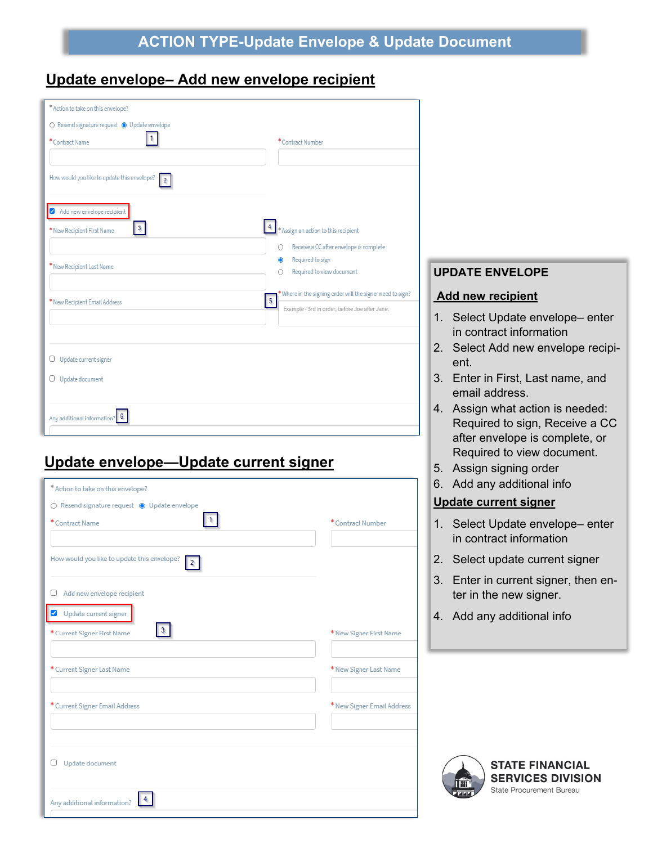# **Update envelope– Add new envelope recipient**

| * Action to take on this envelope?                    |                                                                                       |
|-------------------------------------------------------|---------------------------------------------------------------------------------------|
| ○ Resend signature request ● Update envelope          |                                                                                       |
| *Contract Name                                        | * Contract Number                                                                     |
|                                                       |                                                                                       |
| How would you like to update this envelope?           |                                                                                       |
| Add new envelope recipient                            |                                                                                       |
| $\overline{\mathbf{3}}$<br>* New Recipient First Name | A * Assign an action to this recipient                                                |
|                                                       | Receive a CC after envelope is complete<br>O                                          |
| * New Recipient Last Name                             | Required to sign<br>◉<br>Required to view document<br>∩                               |
|                                                       |                                                                                       |
|                                                       | * Where in the signing order will the signer need to sign?<br>$\overline{\mathbf{5}}$ |
| * New Recipient Email Address                         | Example - 3rd in order, before Joe after Jane.                                        |
|                                                       |                                                                                       |
| $\Box$ Update current signer                          |                                                                                       |
| Update document                                       |                                                                                       |
|                                                       |                                                                                       |
| Any additional information? 6                         |                                                                                       |
|                                                       |                                                                                       |

# **Update envelope—Update current signer**

| * Action to take on this envelope?                             |                            |
|----------------------------------------------------------------|----------------------------|
| $\bigcirc$ Resend signature request $\bigcirc$ Update envelope |                            |
| * Contract Name                                                | *Contract Number           |
|                                                                |                            |
| How would you like to update this envelope?<br>$\mathbf{2}$    |                            |
| Add new envelope recipient<br>U                                |                            |
| Update current signer                                          |                            |
| $\mathbf{3}$<br>* Current Signer First Name                    | * New Signer First Name    |
|                                                                |                            |
| * Current Signer Last Name                                     | * New Signer Last Name     |
|                                                                |                            |
| * Current Signer Email Address                                 | * New Signer Email Address |
|                                                                |                            |
|                                                                |                            |
| Update document                                                |                            |
|                                                                |                            |
| Any additional information?                                    |                            |
|                                                                |                            |

### **UPDATE ENVELOPE**

#### **Add new recipient**

- 1. Select Update envelope– enter in contract information
- 2. Select Add new envelope recipient.
- 3. Enter in First, Last name, and email address.
- 4. Assign what action is needed: Required to sign, Receive a CC after envelope is complete, or Required to view document.
- 5. Assign signing order
- 6. Add any additional info

#### **Update current signer**

- 1. Select Update envelope– enter in contract information
- 2. Select update current signer
- 3. Enter in current signer, then enter in the new signer.
- 4. Add any additional info